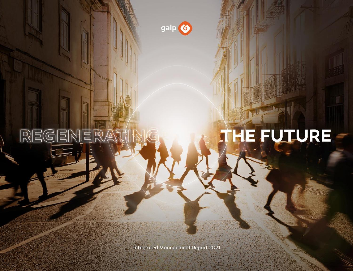

REGENER

# HE FUTURE

Integrated Management Report 2021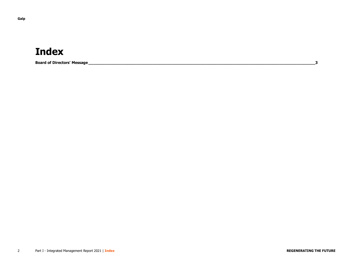# **Index**

**Board of Directors' Message\_\_\_\_\_\_\_\_\_\_\_\_\_\_\_\_\_\_\_\_\_\_\_\_\_\_\_\_\_\_\_\_\_\_\_\_\_\_\_\_\_\_\_\_\_\_\_\_\_\_\_\_\_\_\_\_\_\_\_\_\_\_\_\_\_\_\_\_\_\_\_\_\_\_\_\_\_\_\_\_\_\_\_\_\_\_\_\_\_\_\_\_\_\_\_3**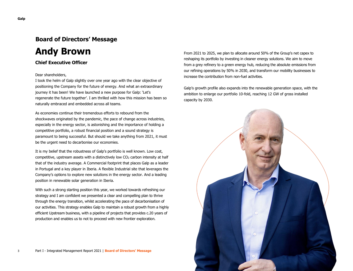## **Board of Directors' Message**

# **Andy Brown**

#### **Chief Executive Officer**

#### Dear shareholders,

I took the helm of Galp slightly over one year ago with the clear objective of positioning the Company for the future of energy. And what an extraordinary journey it has been! We have launched a new purpose for Galp: 'Let's regenerate the future together'. I am thrilled with how this mission has been so naturally embraced and embedded across all teams.

As economies continue their tremendous efforts to rebound from the shockwaves originated by the pandemic, the pace of change across industries, especially in the energy sector, is astonishing and the importance of holding a competitive portfolio, a robust financial position and a sound strategy is paramount to being successful. But should we take anything from 2021, it must be the urgent need to decarbonise our economies.

It is my belief that the robustness of Galp's portfolio is well known. Low cost, competitive, upstream assets with a distinctively low  $CO<sub>2</sub>$  carbon intensity at half that of the industry average. A Commercial footprint that places Galp as a leader in Portugal and a key player in Iberia. A flexible Industrial site that leverages the Company's options to explore new solutions in the energy sector. And a leading position in renewable solar generation in Iberia.

With such a strong starting position this year, we worked towards refreshing our strategy and I am confident we presented a clear and compelling plan to thrive through the energy transition, whilst accelerating the pace of decarbonisation of our activities. This strategy enables Galp to maintain a robust growth from a highly efficient Upstream business, with a pipeline of projects that provides c.20 years of production and enables us to not to proceed with new frontier exploration.

From 2021 to 2025, we plan to allocate around 50% of the Group's net capex to reshaping its portfolio by investing in cleaner energy solutions. We aim to move from a grey refinery to a green energy hub, reducing the absolute emissions from our refining operations by 50% in 2030, and transform our mobility businesses to increase the contribution from non-fuel activities.

Galp's growth profile also expands into the renewable generation space, with the ambition to enlarge our portfolio 10-fold, reaching 12 GW of gross installed capacity by 2030.